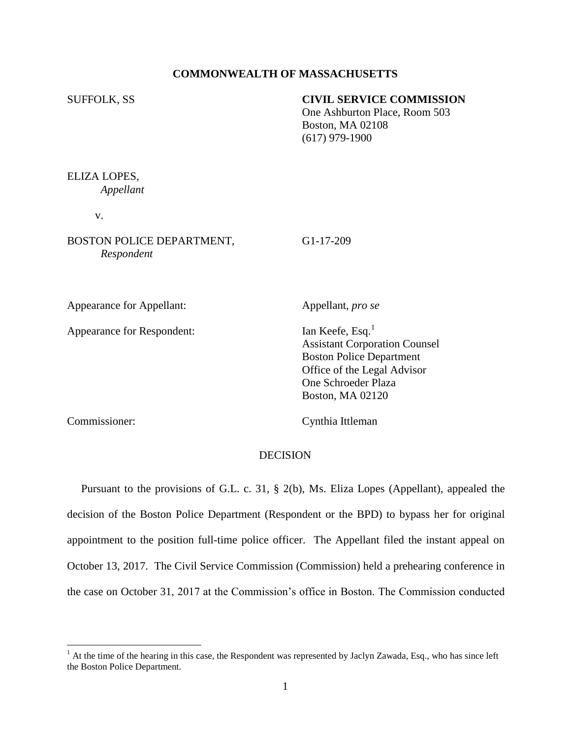## **COMMONWEALTH OF MASSACHUSETTS**

## SUFFOLK, SS **CIVIL SERVICE COMMISSION**

One Ashburton Place, Room 503 Boston, MA 02108 (617) 979-1900

ELIZA LOPES, *Appellant*

v.

BOSTON POLICE DEPARTMENT, G1-17-209 *Respondent*

Appearance for Appellant: Appellant Appellant, *pro se* 

Appearance for Respondent: Ian Keefe, Esq.<sup>1</sup>

Assistant Corporation Counsel Boston Police Department Office of the Legal Advisor One Schroeder Plaza Boston, MA 02120

 $\overline{\phantom{a}}$ 

Commissioner: Cynthia Ittleman

### DECISION

 Pursuant to the provisions of G.L. c. 31, § 2(b), Ms. Eliza Lopes (Appellant), appealed the decision of the Boston Police Department (Respondent or the BPD) to bypass her for original appointment to the position full-time police officer. The Appellant filed the instant appeal on October 13, 2017. The Civil Service Commission (Commission) held a prehearing conference in the case on October 31, 2017 at the Commission's office in Boston. The Commission conducted

 $<sup>1</sup>$  At the time of the hearing in this case, the Respondent was represented by Jaclyn Zawada, Esq., who has since left</sup> the Boston Police Department.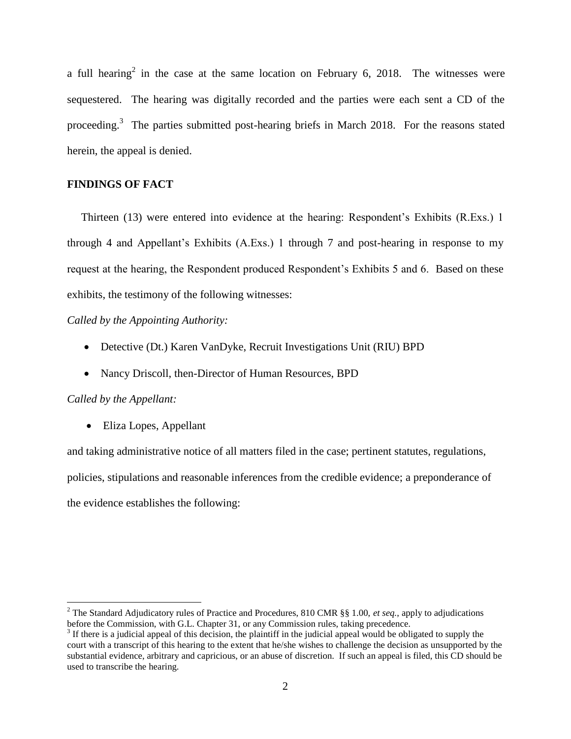a full hearing<sup>2</sup> in the case at the same location on February 6, 2018. The witnesses were sequestered. The hearing was digitally recorded and the parties were each sent a CD of the proceeding.<sup>3</sup> The parties submitted post-hearing briefs in March 2018. For the reasons stated herein, the appeal is denied.

# **FINDINGS OF FACT**

 Thirteen (13) were entered into evidence at the hearing: Respondent's Exhibits (R.Exs.) 1 through 4 and Appellant's Exhibits (A.Exs.) 1 through 7 and post-hearing in response to my request at the hearing, the Respondent produced Respondent's Exhibits 5 and 6. Based on these exhibits, the testimony of the following witnesses:

*Called by the Appointing Authority:*

- Detective (Dt.) Karen VanDyke, Recruit Investigations Unit (RIU) BPD
- Nancy Driscoll, then-Director of Human Resources, BPD

### *Called by the Appellant:*

l

• Eliza Lopes, Appellant

and taking administrative notice of all matters filed in the case; pertinent statutes, regulations, policies, stipulations and reasonable inferences from the credible evidence; a preponderance of the evidence establishes the following:

<sup>2</sup> The Standard Adjudicatory rules of Practice and Procedures, 810 CMR §§ 1.00, *et seq.*, apply to adjudications before the Commission, with G.L. Chapter 31, or any Commission rules, taking precedence.

 $3$  If there is a judicial appeal of this decision, the plaintiff in the judicial appeal would be obligated to supply the court with a transcript of this hearing to the extent that he/she wishes to challenge the decision as unsupported by the substantial evidence, arbitrary and capricious, or an abuse of discretion. If such an appeal is filed, this CD should be used to transcribe the hearing.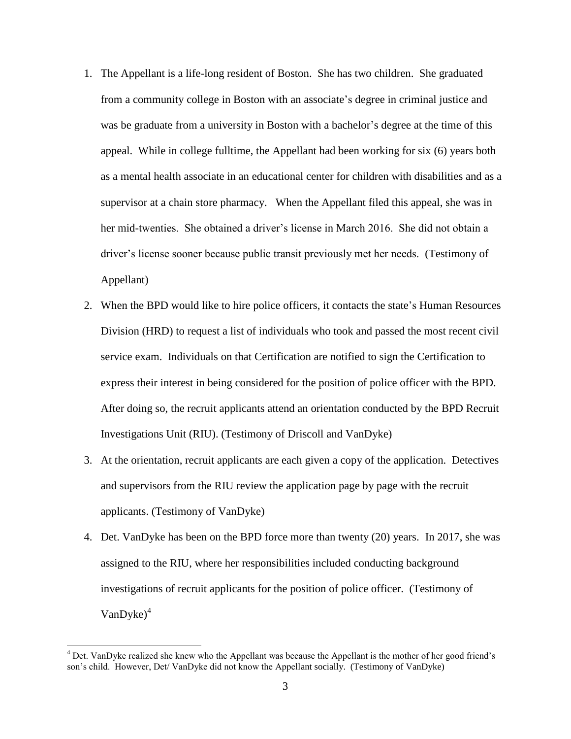- 1. The Appellant is a life-long resident of Boston. She has two children. She graduated from a community college in Boston with an associate's degree in criminal justice and was be graduate from a university in Boston with a bachelor's degree at the time of this appeal. While in college fulltime, the Appellant had been working for six (6) years both as a mental health associate in an educational center for children with disabilities and as a supervisor at a chain store pharmacy. When the Appellant filed this appeal, she was in her mid-twenties. She obtained a driver's license in March 2016. She did not obtain a driver's license sooner because public transit previously met her needs. (Testimony of Appellant)
- 2. When the BPD would like to hire police officers, it contacts the state's Human Resources Division (HRD) to request a list of individuals who took and passed the most recent civil service exam. Individuals on that Certification are notified to sign the Certification to express their interest in being considered for the position of police officer with the BPD. After doing so, the recruit applicants attend an orientation conducted by the BPD Recruit Investigations Unit (RIU). (Testimony of Driscoll and VanDyke)
- 3. At the orientation, recruit applicants are each given a copy of the application. Detectives and supervisors from the RIU review the application page by page with the recruit applicants. (Testimony of VanDyke)
- 4. Det. VanDyke has been on the BPD force more than twenty (20) years. In 2017, she was assigned to the RIU, where her responsibilities included conducting background investigations of recruit applicants for the position of police officer. (Testimony of  $VanDyke<sup>4</sup>$

 $\overline{\phantom{a}}$ 

<sup>4</sup> Det. VanDyke realized she knew who the Appellant was because the Appellant is the mother of her good friend's son's child. However, Det/ VanDyke did not know the Appellant socially. (Testimony of VanDyke)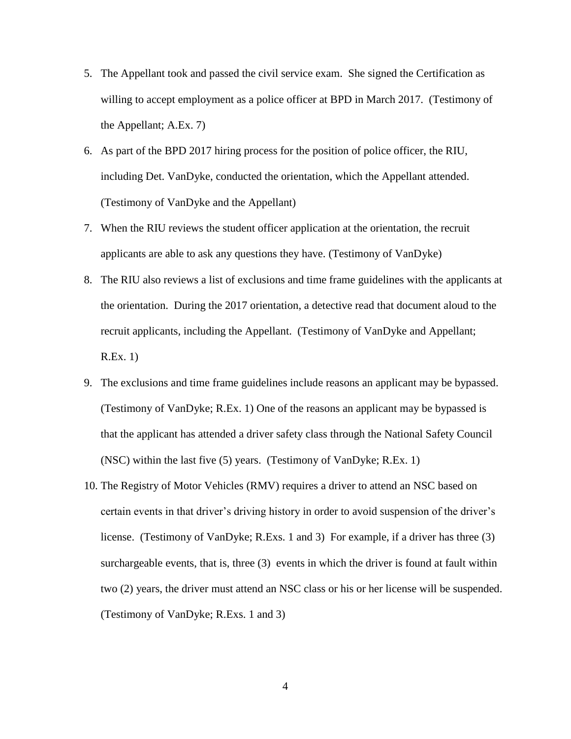- 5. The Appellant took and passed the civil service exam. She signed the Certification as willing to accept employment as a police officer at BPD in March 2017. (Testimony of the Appellant; A.Ex. 7)
- 6. As part of the BPD 2017 hiring process for the position of police officer, the RIU, including Det. VanDyke, conducted the orientation, which the Appellant attended. (Testimony of VanDyke and the Appellant)
- 7. When the RIU reviews the student officer application at the orientation, the recruit applicants are able to ask any questions they have. (Testimony of VanDyke)
- 8. The RIU also reviews a list of exclusions and time frame guidelines with the applicants at the orientation. During the 2017 orientation, a detective read that document aloud to the recruit applicants, including the Appellant. (Testimony of VanDyke and Appellant; R.Ex. 1)
- 9. The exclusions and time frame guidelines include reasons an applicant may be bypassed. (Testimony of VanDyke; R.Ex. 1) One of the reasons an applicant may be bypassed is that the applicant has attended a driver safety class through the National Safety Council (NSC) within the last five (5) years. (Testimony of VanDyke; R.Ex. 1)
- 10. The Registry of Motor Vehicles (RMV) requires a driver to attend an NSC based on certain events in that driver's driving history in order to avoid suspension of the driver's license. (Testimony of VanDyke; R.Exs. 1 and 3) For example, if a driver has three (3) surchargeable events, that is, three (3) events in which the driver is found at fault within two (2) years, the driver must attend an NSC class or his or her license will be suspended. (Testimony of VanDyke; R.Exs. 1 and 3)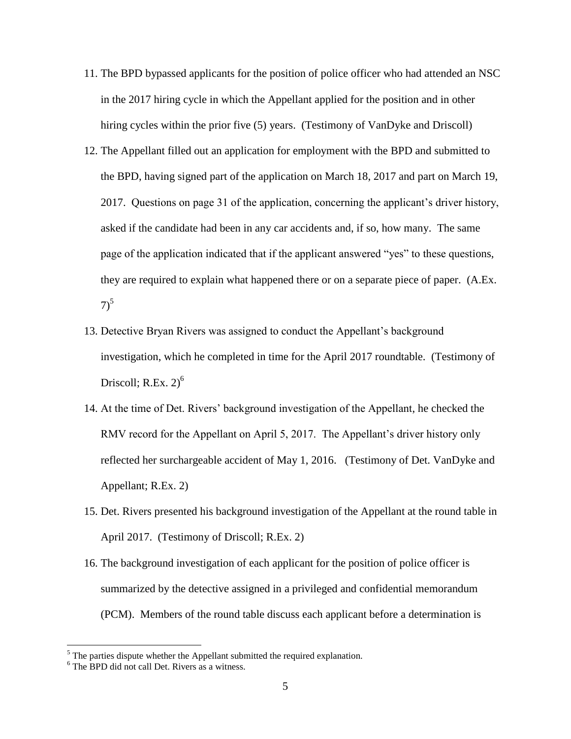- 11. The BPD bypassed applicants for the position of police officer who had attended an NSC in the 2017 hiring cycle in which the Appellant applied for the position and in other hiring cycles within the prior five (5) years. (Testimony of VanDyke and Driscoll)
- 12. The Appellant filled out an application for employment with the BPD and submitted to the BPD, having signed part of the application on March 18, 2017 and part on March 19, 2017. Questions on page 31 of the application, concerning the applicant's driver history, asked if the candidate had been in any car accidents and, if so, how many. The same page of the application indicated that if the applicant answered "yes" to these questions, they are required to explain what happened there or on a separate piece of paper. (A.Ex.  $7)^{5}$
- 13. Detective Bryan Rivers was assigned to conduct the Appellant's background investigation, which he completed in time for the April 2017 roundtable. (Testimony of Driscoll; R.Ex.  $2)^6$
- 14. At the time of Det. Rivers' background investigation of the Appellant, he checked the RMV record for the Appellant on April 5, 2017. The Appellant's driver history only reflected her surchargeable accident of May 1, 2016. (Testimony of Det. VanDyke and Appellant; R.Ex. 2)
- 15. Det. Rivers presented his background investigation of the Appellant at the round table in April 2017. (Testimony of Driscoll; R.Ex. 2)
- 16. The background investigation of each applicant for the position of police officer is summarized by the detective assigned in a privileged and confidential memorandum (PCM). Members of the round table discuss each applicant before a determination is

 $\overline{\phantom{a}}$ 

 $<sup>5</sup>$  The parties dispute whether the Appellant submitted the required explanation.</sup>

<sup>&</sup>lt;sup>6</sup> The BPD did not call Det. Rivers as a witness.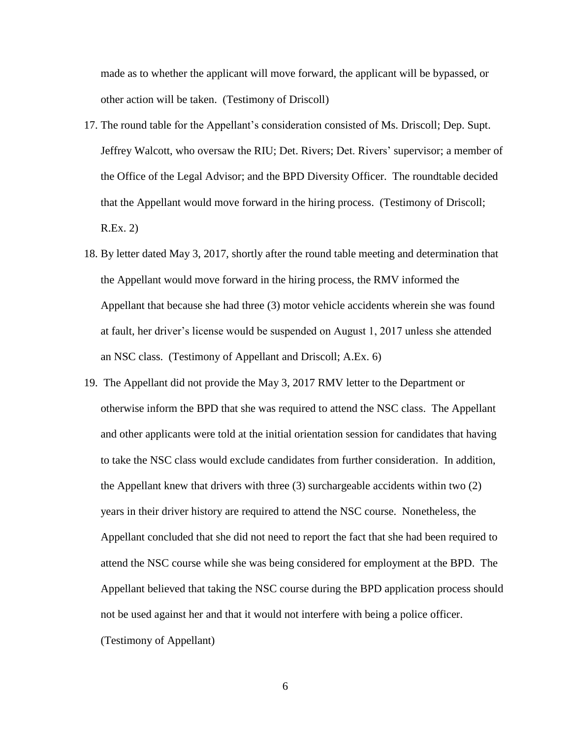made as to whether the applicant will move forward, the applicant will be bypassed, or other action will be taken. (Testimony of Driscoll)

- 17. The round table for the Appellant's consideration consisted of Ms. Driscoll; Dep. Supt. Jeffrey Walcott, who oversaw the RIU; Det. Rivers; Det. Rivers' supervisor; a member of the Office of the Legal Advisor; and the BPD Diversity Officer. The roundtable decided that the Appellant would move forward in the hiring process. (Testimony of Driscoll; R.Ex. 2)
- 18. By letter dated May 3, 2017, shortly after the round table meeting and determination that the Appellant would move forward in the hiring process, the RMV informed the Appellant that because she had three (3) motor vehicle accidents wherein she was found at fault, her driver's license would be suspended on August 1, 2017 unless she attended an NSC class. (Testimony of Appellant and Driscoll; A.Ex. 6)
- 19. The Appellant did not provide the May 3, 2017 RMV letter to the Department or otherwise inform the BPD that she was required to attend the NSC class. The Appellant and other applicants were told at the initial orientation session for candidates that having to take the NSC class would exclude candidates from further consideration. In addition, the Appellant knew that drivers with three (3) surchargeable accidents within two (2) years in their driver history are required to attend the NSC course. Nonetheless, the Appellant concluded that she did not need to report the fact that she had been required to attend the NSC course while she was being considered for employment at the BPD. The Appellant believed that taking the NSC course during the BPD application process should not be used against her and that it would not interfere with being a police officer. (Testimony of Appellant)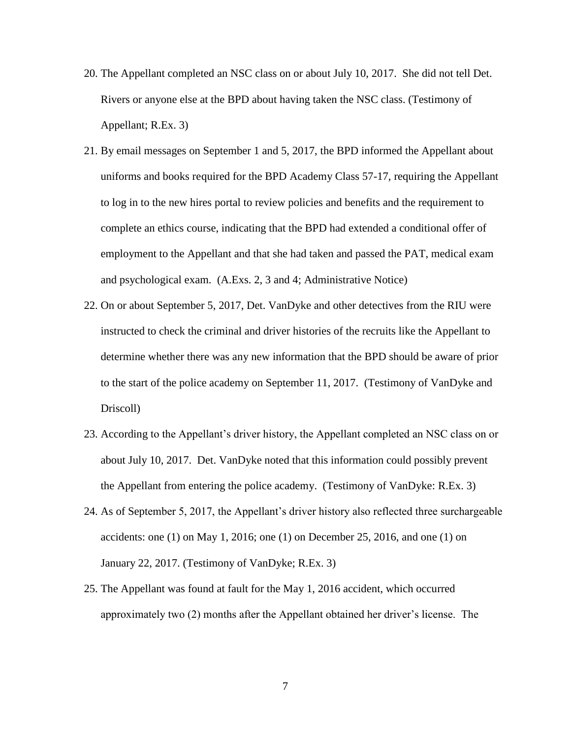- 20. The Appellant completed an NSC class on or about July 10, 2017. She did not tell Det. Rivers or anyone else at the BPD about having taken the NSC class. (Testimony of Appellant; R.Ex. 3)
- 21. By email messages on September 1 and 5, 2017, the BPD informed the Appellant about uniforms and books required for the BPD Academy Class 57-17, requiring the Appellant to log in to the new hires portal to review policies and benefits and the requirement to complete an ethics course, indicating that the BPD had extended a conditional offer of employment to the Appellant and that she had taken and passed the PAT, medical exam and psychological exam. (A.Exs. 2, 3 and 4; Administrative Notice)
- 22. On or about September 5, 2017, Det. VanDyke and other detectives from the RIU were instructed to check the criminal and driver histories of the recruits like the Appellant to determine whether there was any new information that the BPD should be aware of prior to the start of the police academy on September 11, 2017. (Testimony of VanDyke and Driscoll)
- 23. According to the Appellant's driver history, the Appellant completed an NSC class on or about July 10, 2017. Det. VanDyke noted that this information could possibly prevent the Appellant from entering the police academy. (Testimony of VanDyke: R.Ex. 3)
- 24. As of September 5, 2017, the Appellant's driver history also reflected three surchargeable accidents: one  $(1)$  on May 1, 2016; one  $(1)$  on December 25, 2016, and one  $(1)$  on January 22, 2017. (Testimony of VanDyke; R.Ex. 3)
- 25. The Appellant was found at fault for the May 1, 2016 accident, which occurred approximately two (2) months after the Appellant obtained her driver's license. The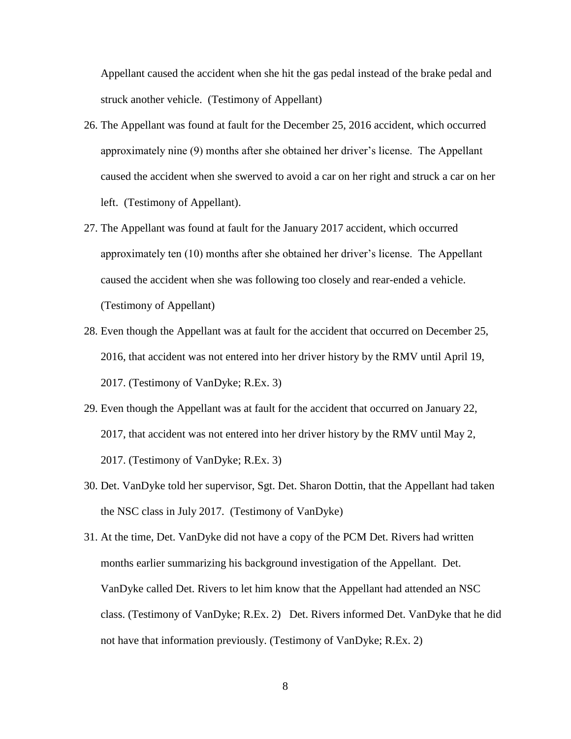Appellant caused the accident when she hit the gas pedal instead of the brake pedal and struck another vehicle. (Testimony of Appellant)

- 26. The Appellant was found at fault for the December 25, 2016 accident, which occurred approximately nine (9) months after she obtained her driver's license. The Appellant caused the accident when she swerved to avoid a car on her right and struck a car on her left. (Testimony of Appellant).
- 27. The Appellant was found at fault for the January 2017 accident, which occurred approximately ten (10) months after she obtained her driver's license. The Appellant caused the accident when she was following too closely and rear-ended a vehicle. (Testimony of Appellant)
- 28. Even though the Appellant was at fault for the accident that occurred on December 25, 2016, that accident was not entered into her driver history by the RMV until April 19, 2017. (Testimony of VanDyke; R.Ex. 3)
- 29. Even though the Appellant was at fault for the accident that occurred on January 22, 2017, that accident was not entered into her driver history by the RMV until May 2, 2017. (Testimony of VanDyke; R.Ex. 3)
- 30. Det. VanDyke told her supervisor, Sgt. Det. Sharon Dottin, that the Appellant had taken the NSC class in July 2017. (Testimony of VanDyke)
- 31. At the time, Det. VanDyke did not have a copy of the PCM Det. Rivers had written months earlier summarizing his background investigation of the Appellant. Det. VanDyke called Det. Rivers to let him know that the Appellant had attended an NSC class. (Testimony of VanDyke; R.Ex. 2) Det. Rivers informed Det. VanDyke that he did not have that information previously. (Testimony of VanDyke; R.Ex. 2)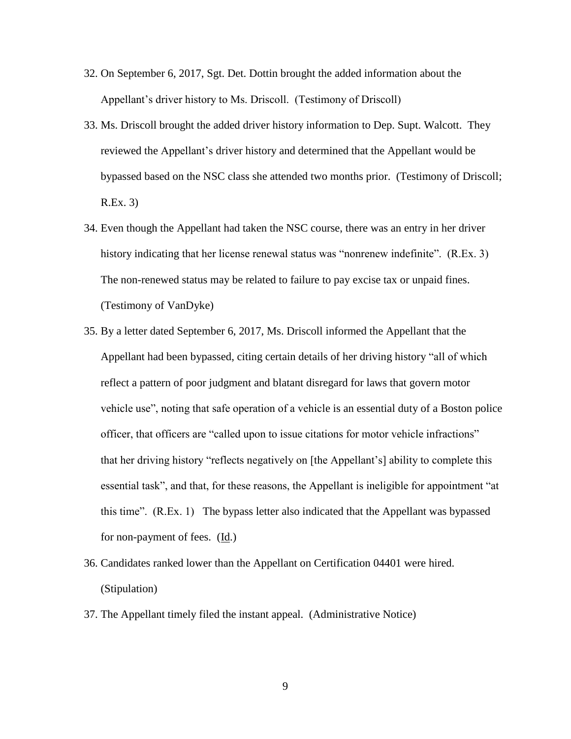- 32. On September 6, 2017, Sgt. Det. Dottin brought the added information about the Appellant's driver history to Ms. Driscoll. (Testimony of Driscoll)
- 33. Ms. Driscoll brought the added driver history information to Dep. Supt. Walcott. They reviewed the Appellant's driver history and determined that the Appellant would be bypassed based on the NSC class she attended two months prior. (Testimony of Driscoll; R.Ex. 3)
- 34. Even though the Appellant had taken the NSC course, there was an entry in her driver history indicating that her license renewal status was "nonrenew indefinite". (R.Ex. 3) The non-renewed status may be related to failure to pay excise tax or unpaid fines. (Testimony of VanDyke)
- 35. By a letter dated September 6, 2017, Ms. Driscoll informed the Appellant that the Appellant had been bypassed, citing certain details of her driving history "all of which reflect a pattern of poor judgment and blatant disregard for laws that govern motor vehicle use", noting that safe operation of a vehicle is an essential duty of a Boston police officer, that officers are "called upon to issue citations for motor vehicle infractions" that her driving history "reflects negatively on [the Appellant's] ability to complete this essential task", and that, for these reasons, the Appellant is ineligible for appointment "at this time". (R.Ex. 1) The bypass letter also indicated that the Appellant was bypassed for non-payment of fees.  $(\underline{Id})$
- 36. Candidates ranked lower than the Appellant on Certification 04401 were hired. (Stipulation)
- 37. The Appellant timely filed the instant appeal. (Administrative Notice)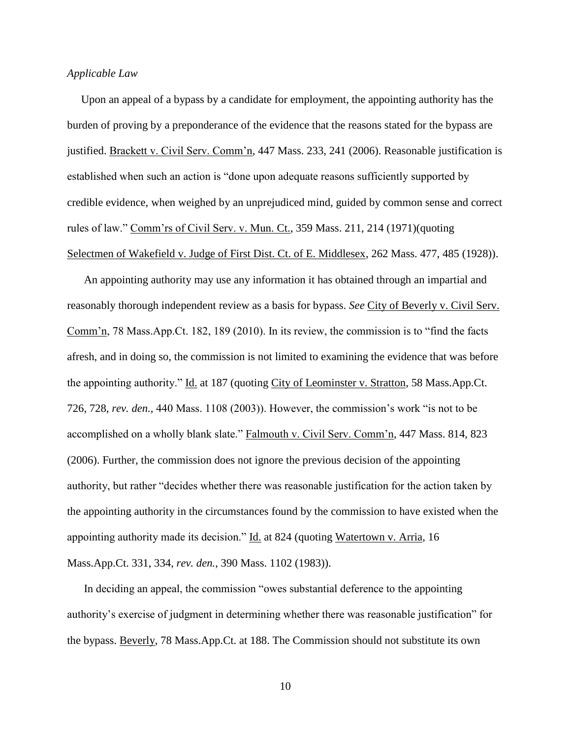#### *Applicable Law*

 Upon an appeal of a bypass by a candidate for employment, the appointing authority has the burden of proving by a preponderance of the evidence that the reasons stated for the bypass are justified. Brackett v. Civil Serv. Comm'n, 447 Mass. 233, 241 (2006). Reasonable justification is established when such an action is "done upon adequate reasons sufficiently supported by credible evidence, when weighed by an unprejudiced mind, guided by common sense and correct rules of law." Comm'rs of Civil Serv. v. Mun. Ct., 359 Mass. 211, 214 (1971)(quoting Selectmen of Wakefield v. Judge of First Dist. Ct. of E. Middlesex, 262 Mass. 477, 485 (1928)).

An appointing authority may use any information it has obtained through an impartial and reasonably thorough independent review as a basis for bypass. *See* City of Beverly v. Civil Serv. Comm'n, 78 Mass.App.Ct. 182, 189 (2010). In its review, the commission is to "find the facts afresh, and in doing so, the commission is not limited to examining the evidence that was before the appointing authority." Id. at 187 (quoting City of Leominster v. Stratton, 58 Mass.App.Ct. 726, 728, *rev. den.,* 440 Mass. 1108 (2003)). However, the commission's work "is not to be accomplished on a wholly blank slate." Falmouth v. Civil Serv. Comm'n, 447 Mass. 814, 823 (2006). Further, the commission does not ignore the previous decision of the appointing authority, but rather "decides whether there was reasonable justification for the action taken by the appointing authority in the circumstances found by the commission to have existed when the appointing authority made its decision." Id. at 824 (quoting Watertown v. Arria, 16 Mass.App.Ct. 331, 334, *rev. den.*, 390 Mass. 1102 (1983)).

In deciding an appeal, the commission "owes substantial deference to the appointing authority's exercise of judgment in determining whether there was reasonable justification" for the bypass. Beverly, 78 Mass.App.Ct. at 188. The Commission should not substitute its own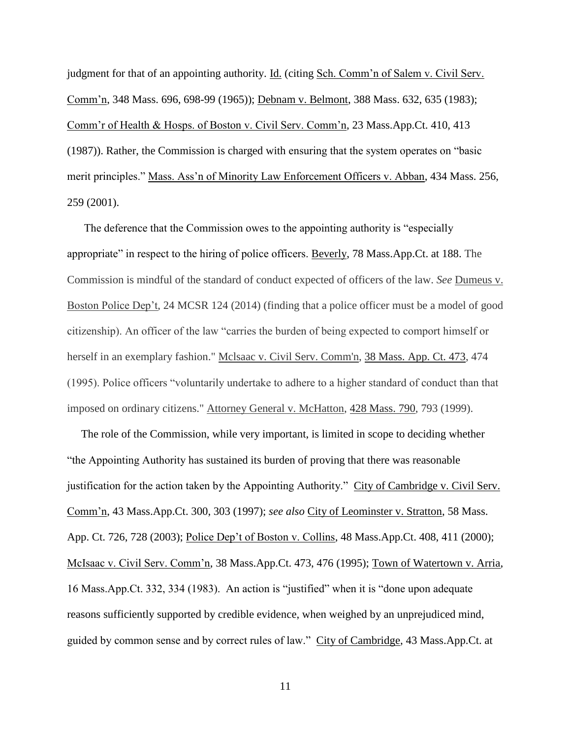judgment for that of an appointing authority. Id. (citing Sch. Comm'n of Salem v. Civil Serv. Comm'n, 348 Mass. 696, 698-99 (1965)); Debnam v. Belmont, 388 Mass. 632, 635 (1983); Comm'r of Health & Hosps. of Boston v. Civil Serv. Comm'n, 23 Mass.App.Ct. 410, 413 (1987)). Rather, the Commission is charged with ensuring that the system operates on "basic merit principles." Mass. Ass'n of Minority Law Enforcement Officers v. Abban, 434 Mass. 256, 259 (2001).

The deference that the Commission owes to the appointing authority is "especially appropriate" in respect to the hiring of police officers. Beverly, 78 Mass.App.Ct. at 188. The Commission is mindful of the standard of conduct expected of officers of the law. *See* Dumeus v. Boston Police Dep't, 24 MCSR 124 (2014) (finding that a police officer must be a model of good citizenship). An officer of the law "carries the burden of being expected to comport himself or herself in an exemplary fashion." Mclsaac v. Civil Serv. Comm'n, [38 Mass. App. Ct. 473,](http://sll.gvpi.net/document.php?id=sjcapp:38_mass_app_ct_473) 474 (1995). Police officers "voluntarily undertake to adhere to a higher standard of conduct than that imposed on ordinary citizens." Attorney General v. McHatton, [428 Mass. 790,](http://sll.gvpi.net/document.php?id=sjcapp:428_mass_790) 793 (1999).

 The role of the Commission, while very important, is limited in scope to deciding whether "the Appointing Authority has sustained its burden of proving that there was reasonable justification for the action taken by the Appointing Authority." City of Cambridge v. Civil Serv. Comm'n, 43 Mass.App.Ct. 300, 303 (1997); *see also* City of Leominster v. Stratton, 58 Mass. App. Ct. 726, 728 (2003); Police Dep't of Boston v. Collins, 48 Mass.App.Ct. 408, 411 (2000); McIsaac v. Civil Serv. Comm'n, 38 Mass.App.Ct. 473, 476 (1995); Town of Watertown v. Arria, 16 Mass.App.Ct. 332, 334 (1983). An action is "justified" when it is "done upon adequate reasons sufficiently supported by credible evidence, when weighed by an unprejudiced mind, guided by common sense and by correct rules of law." City of Cambridge, 43 Mass.App.Ct. at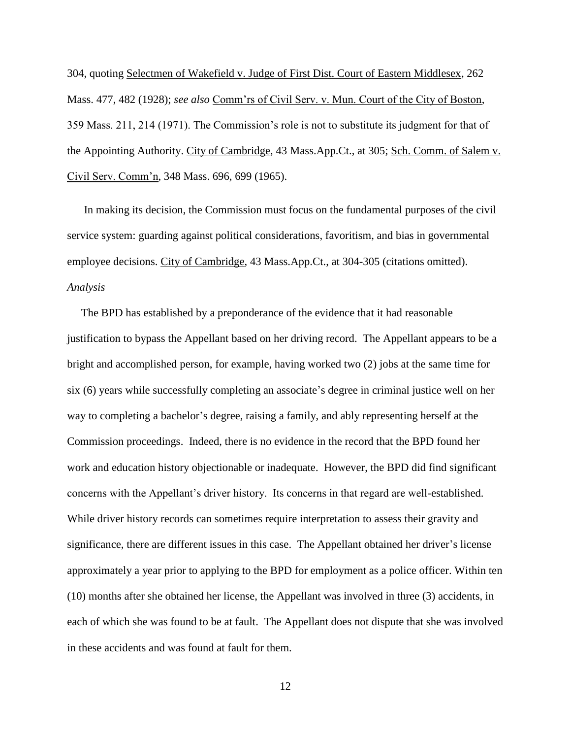304, quoting Selectmen of Wakefield v. Judge of First Dist. Court of Eastern Middlesex, 262 Mass. 477, 482 (1928); *see also* Comm'rs of Civil Serv. v. Mun. Court of the City of Boston, 359 Mass. 211, 214 (1971). The Commission's role is not to substitute its judgment for that of the Appointing Authority. City of Cambridge, 43 Mass.App.Ct., at 305; Sch. Comm. of Salem v. Civil Serv. Comm'n, 348 Mass. 696, 699 (1965).

 In making its decision, the Commission must focus on the fundamental purposes of the civil service system: guarding against political considerations, favoritism, and bias in governmental employee decisions. City of Cambridge, 43 Mass.App.Ct., at 304-305 (citations omitted). *Analysis*

 The BPD has established by a preponderance of the evidence that it had reasonable justification to bypass the Appellant based on her driving record. The Appellant appears to be a bright and accomplished person, for example, having worked two (2) jobs at the same time for six (6) years while successfully completing an associate's degree in criminal justice well on her way to completing a bachelor's degree, raising a family, and ably representing herself at the Commission proceedings. Indeed, there is no evidence in the record that the BPD found her work and education history objectionable or inadequate. However, the BPD did find significant concerns with the Appellant's driver history. Its concerns in that regard are well-established. While driver history records can sometimes require interpretation to assess their gravity and significance, there are different issues in this case. The Appellant obtained her driver's license approximately a year prior to applying to the BPD for employment as a police officer. Within ten (10) months after she obtained her license, the Appellant was involved in three (3) accidents, in each of which she was found to be at fault. The Appellant does not dispute that she was involved in these accidents and was found at fault for them.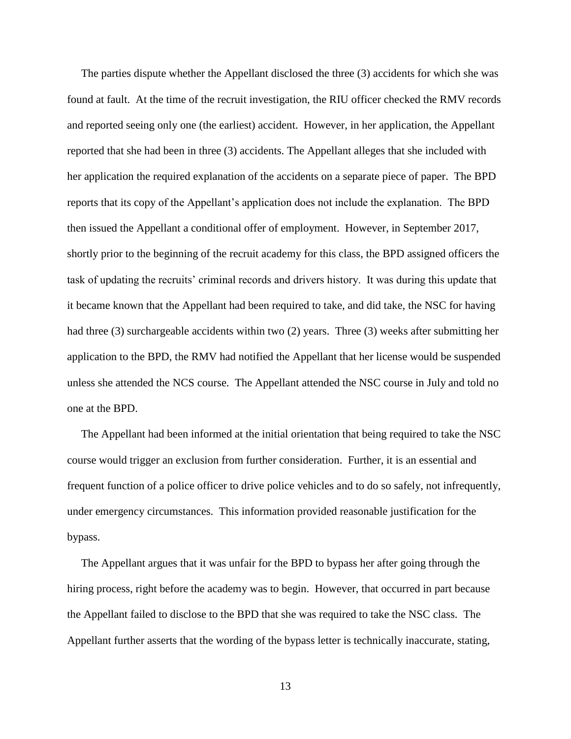The parties dispute whether the Appellant disclosed the three (3) accidents for which she was found at fault. At the time of the recruit investigation, the RIU officer checked the RMV records and reported seeing only one (the earliest) accident. However, in her application, the Appellant reported that she had been in three (3) accidents. The Appellant alleges that she included with her application the required explanation of the accidents on a separate piece of paper. The BPD reports that its copy of the Appellant's application does not include the explanation. The BPD then issued the Appellant a conditional offer of employment. However, in September 2017, shortly prior to the beginning of the recruit academy for this class, the BPD assigned officers the task of updating the recruits' criminal records and drivers history. It was during this update that it became known that the Appellant had been required to take, and did take, the NSC for having had three (3) surchargeable accidents within two (2) years. Three (3) weeks after submitting her application to the BPD, the RMV had notified the Appellant that her license would be suspended unless she attended the NCS course. The Appellant attended the NSC course in July and told no one at the BPD.

 The Appellant had been informed at the initial orientation that being required to take the NSC course would trigger an exclusion from further consideration. Further, it is an essential and frequent function of a police officer to drive police vehicles and to do so safely, not infrequently, under emergency circumstances. This information provided reasonable justification for the bypass.

 The Appellant argues that it was unfair for the BPD to bypass her after going through the hiring process, right before the academy was to begin. However, that occurred in part because the Appellant failed to disclose to the BPD that she was required to take the NSC class. The Appellant further asserts that the wording of the bypass letter is technically inaccurate, stating,